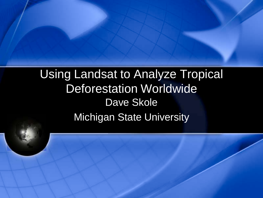#### Using Landsat to Analyze Tropical Deforestation Worldwide Dave Skole Michigan State University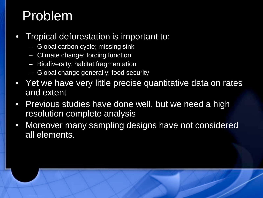# Problem

- Tropical deforestation is important to:
	- Global carbon cycle; missing sink
	- Climate change; forcing function
	- Biodiversity; habitat fragmentation
	- Global change generally; food security
- Yet we have very little precise quantitative data on rates and extent
- Previous studies have done well, but we need a high resolution complete analysis
- Moreover many sampling designs have not considered all elements.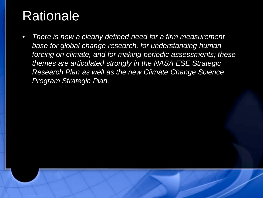#### Rationale

• *There is now a clearly defined need for a firm measurement base for global change research, for understanding human forcing on climate, and for making periodic assessments; these themes are articulated strongly in the NASA ESE Strategic Research Plan as well as the new Climate Change Science Program Strategic Plan.*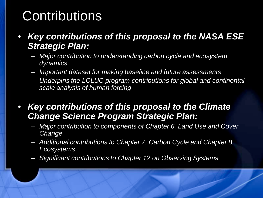### **Contributions**

- *Key contributions of this proposal to the NASA ESE Strategic Plan:*
	- *Major contribution to understanding carbon cycle and ecosystem dynamics*
	- *Important dataset for making baseline and future assessments*
	- *Underpins the LCLUC program contributions for global and continental scale analysis of human forcing*
- *Key contributions of this proposal to the Climate Change Science Program Strategic Plan:*
	- *Major contribution to components of Chapter 6. Land Use and Cover Change*
	- *Additional contributions to Chapter 7, Carbon Cycle and Chapter 8, Ecosystems*
	- *Significant contributions to Chapter 12 on Observing Systems*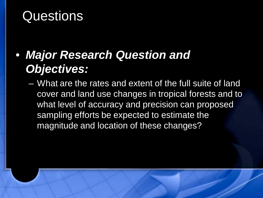#### **Questions**

#### • *Major Research Question and Objectives:*

– What are the rates and extent of the full suite of land cover and land use changes in tropical forests and to what level of accuracy and precision can proposed sampling efforts be expected to estimate the magnitude and location of these changes?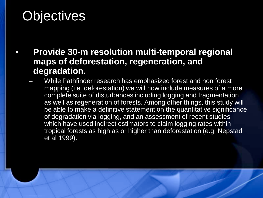## **Objectives**

• **Provide 30-m resolution multi-temporal regional maps of deforestation, regeneration, and degradation.**

– While Pathfinder research has emphasized forest and non forest mapping (i.e. deforestation) we will now include measures of a more complete suite of disturbances including logging and fragmentation as well as regeneration of forests. Among other things, this study will be able to make a definitive statement on the quantitative significance of degradation via logging, and an assessment of recent studies which have used indirect estimators to claim logging rates within tropical forests as high as or higher than deforestation (e.g. Nepstad et al 1999).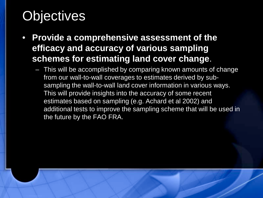## **Objectives**

• **Provide a comprehensive assessment of the efficacy and accuracy of various sampling schemes for estimating land cover change**.

– This will be accomplished by comparing known amounts of change from our wall-to-wall coverages to estimates derived by subsampling the wall-to-wall land cover information in various ways. This will provide insights into the accuracy of some recent estimates based on sampling (e.g. Achard et al 2002) and additional tests to improve the sampling scheme that will be used in the future by the FAO FRA.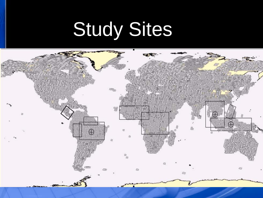# Study Sites

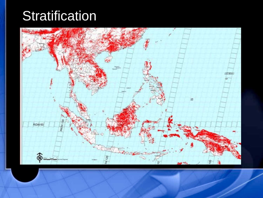# **Stratification**

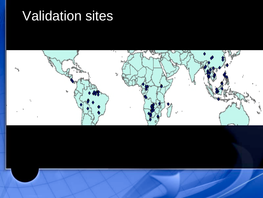# Validation sites

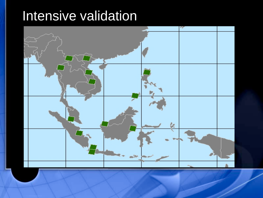# Intensive validation

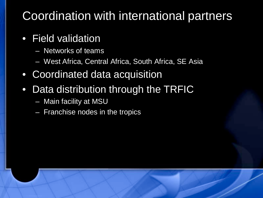#### Coordination with international partners

- Field validation
	- Networks of teams
	- West Africa, Central Africa, South Africa, SE Asia
- Coordinated data acquisition
- Data distribution through the TRFIC
	- Main facility at MSU
	- Franchise nodes in the tropics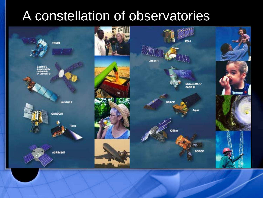## A constellation of observatories

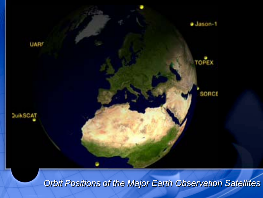

*Orbit Positions of the Major Earth Observation Satellites*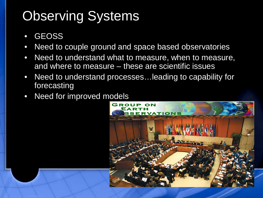# Observing Systems

- **GEOSS**
- Need to couple ground and space based observatories
- Need to understand what to measure, when to measure, and where to measure – these are scientific issues
- Need to understand processes... leading to capability for forecasting
- Need for improved models

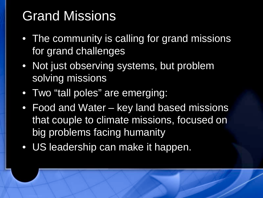# Grand Missions

- The community is calling for grand missions for grand challenges
- Not just observing systems, but problem solving missions
- Two "tall poles" are emerging:
- Food and Water key land based missions that couple to climate missions, focused on big problems facing humanity
- US leadership can make it happen.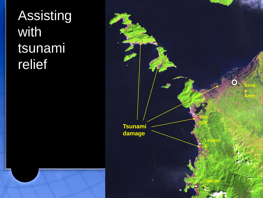**Assisting** with tsunami relief



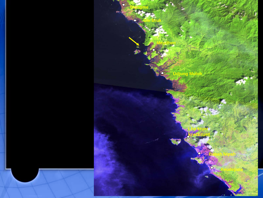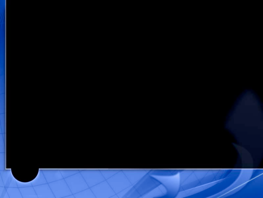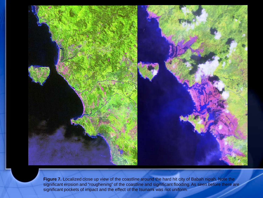

**Figure 7.** Localized close up view of the coastline around the hard hit city of Babah nipah. Note the significant erosion and "roughening" of the coastline and significant flooding. As seen before there are significant pockets of impact and the effect of the tsunami was not uniform.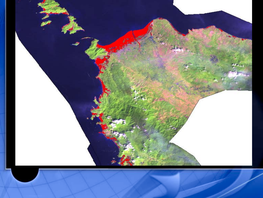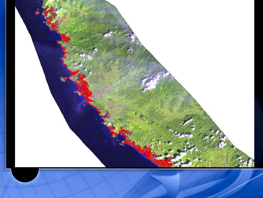